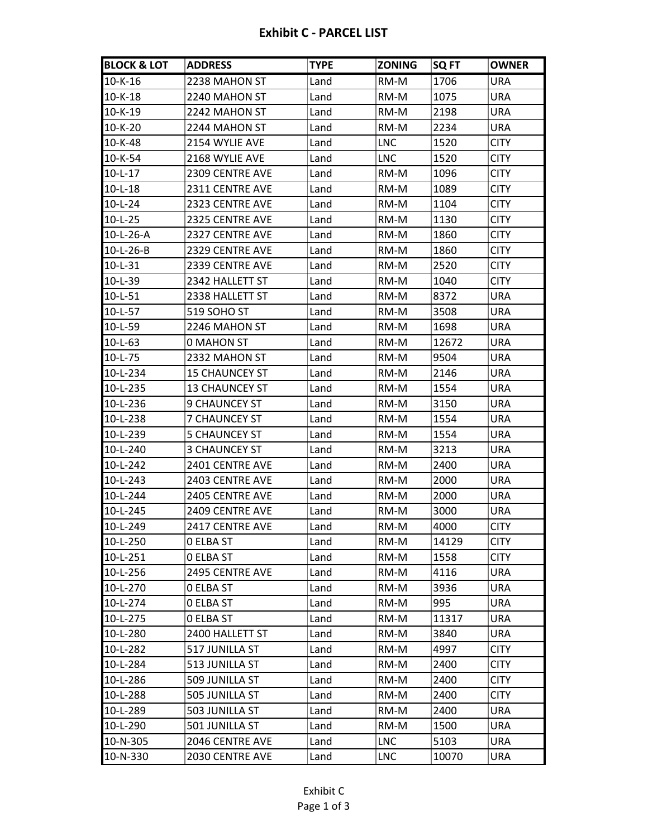## **Exhibit C - PARCEL LIST**

| <b>BLOCK &amp; LOT</b> | <b>ADDRESS</b>        | <b>TYPE</b> | <b>ZONING</b> | <b>SQ FT</b> | <b>OWNER</b> |
|------------------------|-----------------------|-------------|---------------|--------------|--------------|
| 10-K-16                | 2238 MAHON ST         | Land        | RM-M          | 1706         | <b>URA</b>   |
| $10 - K - 18$          | 2240 MAHON ST         | Land        | RM-M          | 1075         | URA          |
| $10 - K - 19$          | 2242 MAHON ST         | Land        | RM-M          | 2198         | URA          |
| $10-K-20$              | 2244 MAHON ST         | Land        | RM-M          | 2234         | URA          |
| 10-K-48                | 2154 WYLIE AVE        | Land        | <b>LNC</b>    | 1520         | <b>CITY</b>  |
| $10 - K - 54$          | 2168 WYLIE AVE        | Land        | <b>LNC</b>    | 1520         | <b>CITY</b>  |
| $10 - L - 17$          | 2309 CENTRE AVE       | Land        | RM-M          | 1096         | <b>CITY</b>  |
| $10 - L - 18$          | 2311 CENTRE AVE       | Land        | RM-M          | 1089         | <b>CITY</b>  |
| $10-L-24$              | 2323 CENTRE AVE       | Land        | RM-M          | 1104         | <b>CITY</b>  |
| $10-L-25$              | 2325 CENTRE AVE       | Land        | RM-M          | 1130         | <b>CITY</b>  |
| $10-L-26-A$            | 2327 CENTRE AVE       | Land        | RM-M          | 1860         | <b>CITY</b>  |
| 10-L-26-B              | 2329 CENTRE AVE       | Land        | RM-M          | 1860         | <b>CITY</b>  |
| 10-L-31                | 2339 CENTRE AVE       | Land        | RM-M          | 2520         | <b>CITY</b>  |
| $10-L-39$              | 2342 HALLETT ST       | Land        | RM-M          | 1040         | <b>CITY</b>  |
| $10 - L - 51$          | 2338 HALLETT ST       | Land        | RM-M          | 8372         | URA          |
| 10-L-57                | 519 SOHO ST           | Land        | RM-M          | 3508         | URA          |
| $10 - L - 59$          | 2246 MAHON ST         | Land        | RM-M          | 1698         | <b>URA</b>   |
| $10 - L - 63$          | 0 MAHON ST            | Land        | RM-M          | 12672        | URA          |
| $10-L-75$              | 2332 MAHON ST         | Land        | RM-M          | 9504         | URA          |
| l10-L-234              | <b>15 CHAUNCEY ST</b> | Land        | RM-M          | 2146         | <b>URA</b>   |
| 10-L-235               | <b>13 CHAUNCEY ST</b> | Land        | RM-M          | 1554         | URA          |
| 10-L-236               | <b>9 CHAUNCEY ST</b>  | Land        | RM-M          | 3150         | URA          |
| 10-L-238               | 7 CHAUNCEY ST         | Land        | RM-M          | 1554         | URA          |
| $10-L-239$             | 5 CHAUNCEY ST         | Land        | RM-M          | 1554         | <b>URA</b>   |
| $10 - L - 240$         | 3 CHAUNCEY ST         | Land        | RM-M          | 3213         | URA          |
| $10 - L - 242$         | 2401 CENTRE AVE       | Land        | RM-M          | 2400         | <b>URA</b>   |
| $10 - L - 243$         | 2403 CENTRE AVE       | Land        | RM-M          | 2000         | URA          |
| 10-L-244               | 2405 CENTRE AVE       | Land        | RM-M          | 2000         | URA          |
| 10-L-245               | 2409 CENTRE AVE       | Land        | RM-M          | 3000         | <b>URA</b>   |
| 10-L-249               | 2417 CENTRE AVE       | Land        | RM-M          | 4000         | <b>CITY</b>  |
| 10-L-250               | 0 ELBA ST             | Land        | RM-M          | 14129        | <b>CITY</b>  |
| $10 - L - 251$         | <b>O ELBA ST</b>      | Land        | RM-M          | 1558         | <b>CITY</b>  |
| 10-L-256               | 2495 CENTRE AVE       | Land        | RM-M          | 4116         | URA          |
| 10-L-270               | <b>O ELBA ST</b>      | Land        | RM-M          | 3936         | URA          |
| 10-L-274               | <b>O ELBA ST</b>      | Land        | RM-M          | 995          | URA          |
| 10-L-275               | <b>O ELBA ST</b>      | Land        | RM-M          | 11317        | URA          |
| 10-L-280               | 2400 HALLETT ST       | Land        | RM-M          | 3840         | URA          |
| 10-L-282               | 517 JUNILLA ST        | Land        | RM-M          | 4997         | <b>CITY</b>  |
| $10 - L - 284$         | 513 JUNILLA ST        | Land        | RM-M          | 2400         | <b>CITY</b>  |
| 10-L-286               | 509 JUNILLA ST        | Land        | RM-M          | 2400         | <b>CITY</b>  |
| 10-L-288               | 505 JUNILLA ST        | Land        | RM-M          | 2400         | <b>CITY</b>  |
| 10-L-289               | 503 JUNILLA ST        | Land        | RM-M          | 2400         | URA          |
| 10-L-290               | 501 JUNILLA ST        | Land        | RM-M          | 1500         | URA          |
| 10-N-305               | 2046 CENTRE AVE       | Land        | <b>LNC</b>    | 5103         | URA          |
| 10-N-330               | 2030 CENTRE AVE       | Land        | LNC           | 10070        | URA          |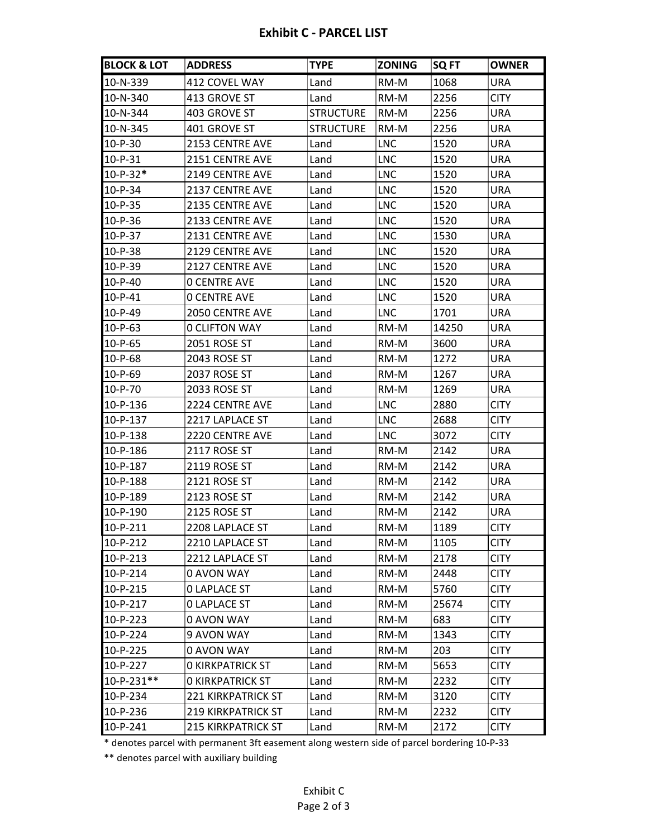## **Exhibit C - PARCEL LIST**

| <b>BLOCK &amp; LOT</b> | <b>ADDRESS</b>            | <b>TYPE</b>      | <b>ZONING</b> | SQ FT | <b>OWNER</b> |
|------------------------|---------------------------|------------------|---------------|-------|--------------|
| 10-N-339               | 412 COVEL WAY             | Land             | RM-M          | 1068  | URA          |
| 10-N-340               | 413 GROVE ST              | Land             | RM-M          | 2256  | <b>CITY</b>  |
| 10-N-344               | 403 GROVE ST              | <b>STRUCTURE</b> | RM-M          | 2256  | <b>URA</b>   |
| 10-N-345               | 401 GROVE ST              | <b>STRUCTURE</b> | RM-M          | 2256  | <b>URA</b>   |
| $10-P-30$              | 2153 CENTRE AVE           | Land             | <b>LNC</b>    | 1520  | URA          |
| $10-P-31$              | <b>2151 CENTRE AVE</b>    | Land             | <b>LNC</b>    | 1520  | URA          |
| $10-P-32*$             | 2149 CENTRE AVE           | Land             | <b>LNC</b>    | 1520  | URA          |
| 10-P-34                | 2137 CENTRE AVE           | Land             | <b>LNC</b>    | 1520  | <b>URA</b>   |
| $10-P-35$              | 2135 CENTRE AVE           | Land             | <b>LNC</b>    | 1520  | <b>URA</b>   |
| $10-P-36$              | 2133 CENTRE AVE           | Land             | <b>LNC</b>    | 1520  | <b>URA</b>   |
| $10-P-37$              | 2131 CENTRE AVE           | Land             | <b>LNC</b>    | 1530  | URA          |
| $10-P-38$              | <b>2129 CENTRE AVE</b>    | Land             | <b>LNC</b>    | 1520  | URA          |
| $10-P-39$              | 2127 CENTRE AVE           | Land             | <b>LNC</b>    | 1520  | URA          |
| $10-P-40$              | <b>O CENTRE AVE</b>       | Land             | <b>LNC</b>    | 1520  | <b>URA</b>   |
| $10-P-41$              | <b>O CENTRE AVE</b>       | Land             | <b>LNC</b>    | 1520  | <b>URA</b>   |
| $10-P-49$              | 2050 CENTRE AVE           | Land             | <b>LNC</b>    | 1701  | <b>URA</b>   |
| $10-P-63$              | <b>0 CLIFTON WAY</b>      | Land             | RM-M          | 14250 | URA          |
| 10-P-65                | 2051 ROSE ST              | Land             | RM-M          | 3600  | URA          |
| $10-P-68$              | 2043 ROSE ST              | Land             | RM-M          | 1272  | <b>URA</b>   |
| $10-P-69$              | 2037 ROSE ST              | Land             | RM-M          | 1267  | URA          |
| 10-P-70                | 2033 ROSE ST              | Land             | RM-M          | 1269  | <b>URA</b>   |
| 10-P-136               | <b>2224 CENTRE AVE</b>    | Land             | <b>LNC</b>    | 2880  | <b>CITY</b>  |
| 10-P-137               | 2217 LAPLACE ST           | Land             | <b>LNC</b>    | 2688  | <b>CITY</b>  |
| $10 - P - 138$         | 2220 CENTRE AVE           | Land             | <b>LNC</b>    | 3072  | <b>CITY</b>  |
| <b>10-P-186</b>        | 2117 ROSE ST              | Land             | RM-M          | 2142  | URA          |
| 10-P-187               | 2119 ROSE ST              | Land             | RM-M          | 2142  | URA          |
| 10-P-188               | 2121 ROSE ST              | Land             | RM-M          | 2142  | URA          |
| 10-P-189               | 2123 ROSE ST              | Land             | RM-M          | 2142  | URA          |
| $10 - P - 190$         | <b>2125 ROSE ST</b>       | Land             | RM-M          | 2142  | <b>URA</b>   |
| 10-P-211               | 2208 LAPLACE ST           | Land             | RM-M          | 1189  | <b>CITY</b>  |
| $10-P-212$             | 2210 LAPLACE ST           | Land             | RM-M          | 1105  | <b>CITY</b>  |
| 10-P-213               | 2212 LAPLACE ST           | Land             | RM-M          | 2178  | <b>CITY</b>  |
| 10-P-214               | 0 AVON WAY                | Land             | RM-M          | 2448  | <b>CITY</b>  |
| 10-P-215               | <b>O LAPLACE ST</b>       | Land             | RM-M          | 5760  | <b>CITY</b>  |
| $10-P-217$             | <b>0 LAPLACE ST</b>       | Land             | RM-M          | 25674 | <b>CITY</b>  |
| $10-P-223$             | 0 AVON WAY                | Land             | RM-M          | 683   | <b>CITY</b>  |
| <b>10-P-224</b>        | 9 AVON WAY                | Land             | RM-M          | 1343  | <b>CITY</b>  |
| 10-P-225               | 0 AVON WAY                | Land             | RM-M          | 203   | <b>CITY</b>  |
| 10-P-227               | <b>O KIRKPATRICK ST</b>   | Land             | RM-M          | 5653  | <b>CITY</b>  |
| 10-P-231**             | <b>O KIRKPATRICK ST</b>   | Land             | RM-M          | 2232  | <b>CITY</b>  |
| 10-P-234               | <b>221 KIRKPATRICK ST</b> | Land             | RM-M          | 3120  | <b>CITY</b>  |
| 10-P-236               | <b>219 KIRKPATRICK ST</b> | Land             | RM-M          | 2232  | <b>CITY</b>  |
| 10-P-241               | <b>215 KIRKPATRICK ST</b> | Land             | RM-M          | 2172  | <b>CITY</b>  |

\* denotes parcel with permanent 3ft easement along western side of parcel bordering 10-P-33

\*\* denotes parcel with auxiliary building